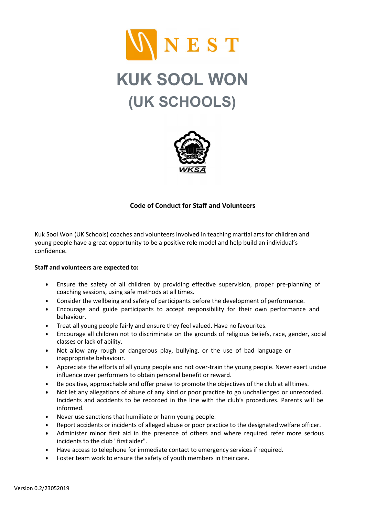

# KUK SOOL WON (UK SCHOOLS)



## Code of Conduct for Staff and Volunteers

Kuk Sool Won (UK Schools) coaches and volunteers involved in teaching martial arts for children and young people have a great opportunity to be a positive role model and help build an individual's confidence.

#### Staff and volunteers are expected to:

- Ensure the safety of all children by providing effective supervision, proper pre-planning of coaching sessions, using safe methods at all times.
- Consider the wellbeing and safety of participants before the development of performance.
- Encourage and guide participants to accept responsibility for their own performance and behaviour.
- Treat all young people fairly and ensure they feel valued. Have no favourites.
- Encourage all children not to discriminate on the grounds of religious beliefs, race, gender, social classes or lack of ability.
- Not allow any rough or dangerous play, bullying, or the use of bad language or inappropriate behaviour.
- Appreciate the efforts of all young people and not over-train the young people. Never exert undue influence over performers to obtain personal benefit or reward.
- Be positive, approachable and offer praise to promote the objectives of the club at all times.
- Not let any allegations of abuse of any kind or poor practice to go unchallenged or unrecorded. Incidents and accidents to be recorded in the line with the club's procedures. Parents will be informed.
- Never use sanctions that humiliate or harm young people.
- Report accidents or incidents of alleged abuse or poor practice to the designated welfare officer.
- Administer minor first aid in the presence of others and where required refer more serious incidents to the club "first aider".
- Have access to telephone for immediate contact to emergency services if required.
- Foster team work to ensure the safety of youth members in their care.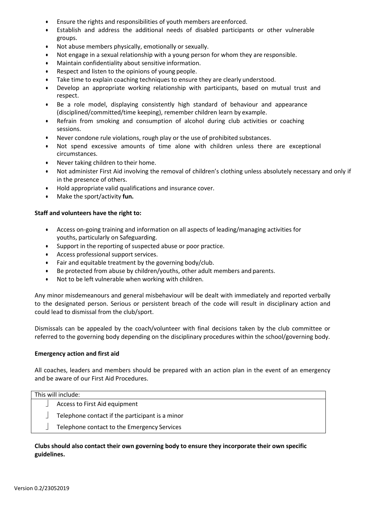- Ensure the rights and responsibilities of youth members are enforced.
- Establish and address the additional needs of disabled participants or other vulnerable groups.
- Not abuse members physically, emotionally or sexually.
- Not engage in a sexual relationship with a young person for whom they are responsible.
- Maintain confidentiality about sensitive information.
- Respect and listen to the opinions of young people.
- Take time to explain coaching techniques to ensure they are clearly understood.
- Develop an appropriate working relationship with participants, based on mutual trust and respect.
- Be a role model, displaying consistently high standard of behaviour and appearance (disciplined/committed/time keeping), remember children learn by example.
- Refrain from smoking and consumption of alcohol during club activities or coaching sessions.
- Never condone rule violations, rough play or the use of prohibited substances.
- Not spend excessive amounts of time alone with children unless there are exceptional circumstances.
- Never taking children to their home.
- Not administer First Aid involving the removal of children's clothing unless absolutely necessary and only if in the presence of others.
- Hold appropriate valid qualifications and insurance cover.
- Make the sport/activity fun.

#### Staff and volunteers have the right to:

- Access on-going training and information on all aspects of leading/managing activities for youths, particularly on Safeguarding.
- Support in the reporting of suspected abuse or poor practice.
- Access professional support services.
- Fair and equitable treatment by the governing body/club.
- Be protected from abuse by children/youths, other adult members and parents.
- Not to be left vulnerable when working with children.

Any minor misdemeanours and general misbehaviour will be dealt with immediately and reported verbally to the designated person. Serious or persistent breach of the code will result in disciplinary action and could lead to dismissal from the club/sport.

Dismissals can be appealed by the coach/volunteer with final decisions taken by the club committee or referred to the governing body depending on the disciplinary procedures within the school/governing body.

#### Emergency action and first aid

All coaches, leaders and members should be prepared with an action plan in the event of an emergency and be aware of our First Aid Procedures.

| This will include: |                                                 |  |
|--------------------|-------------------------------------------------|--|
|                    | Access to First Aid equipment                   |  |
|                    | Telephone contact if the participant is a minor |  |
|                    | Telephone contact to the Emergency Services     |  |

### Clubs should also contact their own governing body to ensure they incorporate their own specific guidelines.